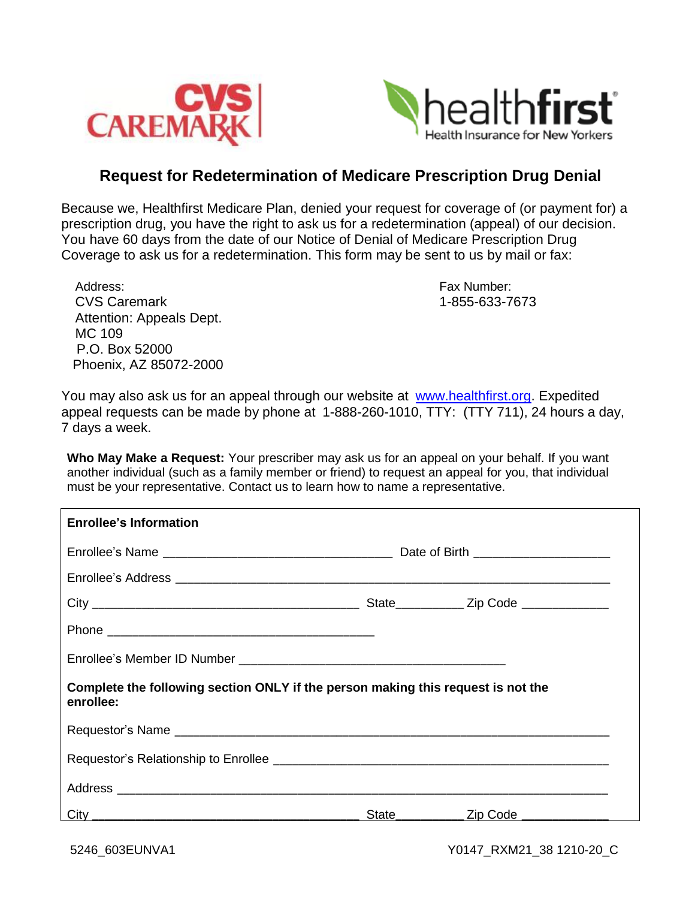



## **Request for Redetermination of Medicare Prescription Drug Denial**

Because we, Healthfirst Medicare Plan, denied your request for coverage of (or payment for) a prescription drug, you have the right to ask us for a redetermination (appeal) of our decision. You have 60 days from the date of our Notice of Denial of Medicare Prescription Drug Coverage to ask us for a redetermination. This form may be sent to us by mail or fax:

| Address:                 |
|--------------------------|
| <b>CVS Caremark</b>      |
| Attention: Appeals Dept. |
| MC 109                   |
| P.O. Box 52000           |
| Phoenix, AZ 85072-2000   |

Fax Number: CVS Caremark 1-855-633-7673

You may also ask us for an appeal through our website at [www.healthfirst.org.](http://www.healthfirst.org/) Expedited appeal requests can be made by phone at 1-888-260-1010, TTY: (TTY 711), 24 hours a day, 7 days a week.

**Who May Make a Request:** Your prescriber may ask us for an appeal on your behalf. If you want another individual (such as a family member or friend) to request an appeal for you, that individual must be your representative. Contact us to learn how to name a representative.

| <b>Enrollee's Information</b>                                                                 |  |                                              |  |  |
|-----------------------------------------------------------------------------------------------|--|----------------------------------------------|--|--|
|                                                                                               |  |                                              |  |  |
|                                                                                               |  |                                              |  |  |
|                                                                                               |  |                                              |  |  |
|                                                                                               |  |                                              |  |  |
|                                                                                               |  |                                              |  |  |
| Complete the following section ONLY if the person making this request is not the<br>enrollee: |  |                                              |  |  |
|                                                                                               |  |                                              |  |  |
|                                                                                               |  |                                              |  |  |
|                                                                                               |  |                                              |  |  |
|                                                                                               |  | State________________ Zip Code _____________ |  |  |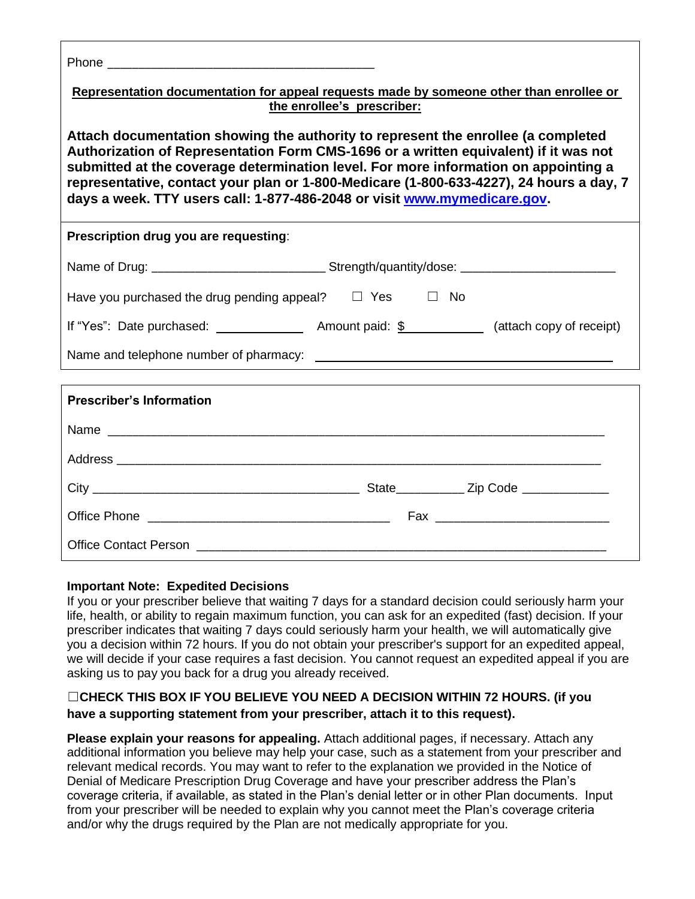| Representation documentation for appeal requests made by someone other than enrollee or<br>the enrollee's prescriber:                                                                                                                                                                                                                                                                                                                   |  |  |  |  |
|-----------------------------------------------------------------------------------------------------------------------------------------------------------------------------------------------------------------------------------------------------------------------------------------------------------------------------------------------------------------------------------------------------------------------------------------|--|--|--|--|
| Attach documentation showing the authority to represent the enrollee (a completed<br>Authorization of Representation Form CMS-1696 or a written equivalent) if it was not<br>submitted at the coverage determination level. For more information on appointing a<br>representative, contact your plan or 1-800-Medicare (1-800-633-4227), 24 hours a day, 7<br>days a week. TTY users call: 1-877-486-2048 or visit www.mymedicare.gov. |  |  |  |  |
| Prescription drug you are requesting:                                                                                                                                                                                                                                                                                                                                                                                                   |  |  |  |  |
|                                                                                                                                                                                                                                                                                                                                                                                                                                         |  |  |  |  |
| Have you purchased the drug pending appeal? $\square$ Yes $\square$ No                                                                                                                                                                                                                                                                                                                                                                  |  |  |  |  |
| If "Yes": Date purchased: $\_\_\_\_\_\_\_\$ Amount paid: $\frac{6}{9}$ $\_\_\_\_\_\_\_\_\_\_\_\_\_\_\_\_\_\_$ (attach copy of receipt)                                                                                                                                                                                                                                                                                                  |  |  |  |  |
|                                                                                                                                                                                                                                                                                                                                                                                                                                         |  |  |  |  |
|                                                                                                                                                                                                                                                                                                                                                                                                                                         |  |  |  |  |
| <b>Prescriber's Information</b>                                                                                                                                                                                                                                                                                                                                                                                                         |  |  |  |  |
|                                                                                                                                                                                                                                                                                                                                                                                                                                         |  |  |  |  |
|                                                                                                                                                                                                                                                                                                                                                                                                                                         |  |  |  |  |
|                                                                                                                                                                                                                                                                                                                                                                                                                                         |  |  |  |  |
|                                                                                                                                                                                                                                                                                                                                                                                                                                         |  |  |  |  |
| <b>Office Contact Person</b>                                                                                                                                                                                                                                                                                                                                                                                                            |  |  |  |  |

## **Important Note: Expedited Decisions**

If you or your prescriber believe that waiting 7 days for a standard decision could seriously harm your life, health, or ability to regain maximum function, you can ask for an expedited (fast) decision. If your prescriber indicates that waiting 7 days could seriously harm your health, we will automatically give you a decision within 72 hours. If you do not obtain your prescriber's support for an expedited appeal, we will decide if your case requires a fast decision. You cannot request an expedited appeal if you are asking us to pay you back for a drug you already received.

## ☐**CHECK THIS BOX IF YOU BELIEVE YOU NEED A DECISION WITHIN 72 HOURS. (if you have a supporting statement from your prescriber, attach it to this request).**

**Please explain your reasons for appealing.** Attach additional pages, if necessary. Attach any additional information you believe may help your case, such as a statement from your prescriber and relevant medical records. You may want to refer to the explanation we provided in the Notice of Denial of Medicare Prescription Drug Coverage and have your prescriber address the Plan's coverage criteria, if available, as stated in the Plan's denial letter or in other Plan documents. Input from your prescriber will be needed to explain why you cannot meet the Plan's coverage criteria and/or why the drugs required by the Plan are not medically appropriate for you.